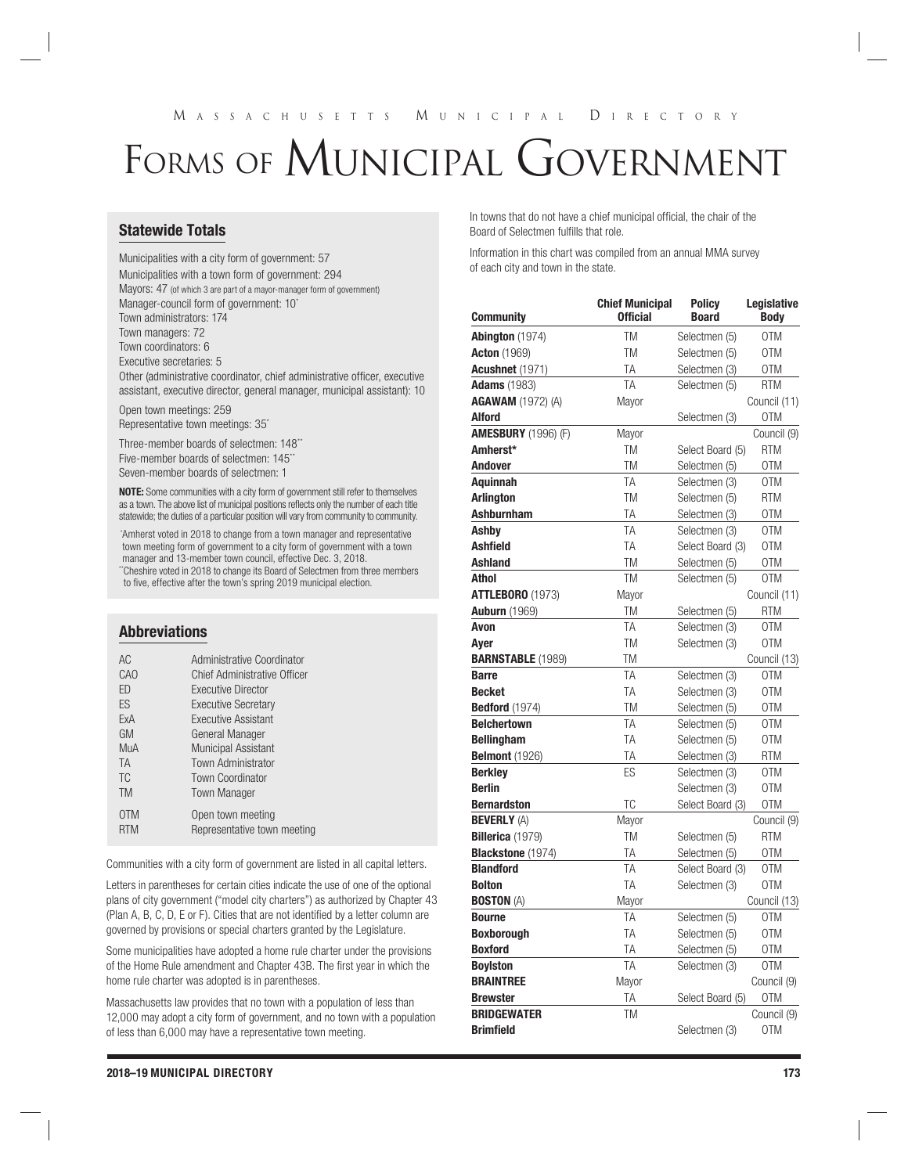# M ASSACHUSETTS M UNICIPAL D IRECTORY

# FORMS OF MUNICIPAL GOVERNMENT

# Statewide Totals

Municipalities with a city form of government: 57 Municipalities with a town form of government: 294 Mayors: 47 (of which 3 are part of a mayor-manager form of government) Manager-council form of government: 10\* Town administrators: 174 Town managers: 72 Town coordinators: 6 Executive secretaries: 5 Other (administrative coordinator, chief administrative officer, executive assistant, executive director, general manager, municipal assistant): 10

Open town meetings: 259 Representative town meetings: 35\*

Three-member boards of selectmen: 148\*\* Five-member boards of selectmen: 145\*\* Seven-member boards of selectmen: 1

NOTE: Some communities with a city form of government still refer to themselves as a town. The above list of municipal positions reflects only the number of each title statewide; the duties of a particular position will vary from community to community.

 \*Amherst voted in 2018 to change from a town manager and representative town meeting form of government to a city form of government with a town manager and 13-member town council, effective Dec. 3, 2018. "Cheshire voted in 2018 to change its Board of Selectmen from three members to five, effective after the town's spring 2019 municipal election.

#### Abbreviations

| AC.        | Administrative Coordinator   |
|------------|------------------------------|
| CAO        | Chief Administrative Officer |
| FD         | Executive Director           |
| <b>FS</b>  | <b>Executive Secretary</b>   |
| FxA        | <b>Executive Assistant</b>   |
| <b>GM</b>  | General Manager              |
| MuA        | <b>Municipal Assistant</b>   |
| <b>TA</b>  | <b>Town Administrator</b>    |
| TC.        | <b>Town Coordinator</b>      |
| <b>TM</b>  | <b>Town Manager</b>          |
| 0TM        | Open town meeting            |
| <b>RTM</b> | Representative town meeting  |
|            |                              |

Communities with a city form of government are listed in all capital letters.

Letters in parentheses for certain cities indicate the use of one of the optional plans of city government ("model city charters") as authorized by Chapter 43 (Plan A, B, C, D, E or F). Cities that are not identified by a letter column are governed by provisions or special charters granted by the Legislature.

Some municipalities have adopted a home rule charter under the provisions of the Home Rule amendment and Chapter 43B. The first year in which the home rule charter was adopted is in parentheses.

Massachusetts law provides that no town with a population of less than 12,000 may adopt a city form of government, and no town with a population of less than 6,000 may have a representative town meeting.

In towns that do not have a chief municipal official, the chair of the Board of Selectmen fulfills that role.

Information in this chart was compiled from an annual MMA survey of each city and town in the state.

|                            | <b>Chief Municipal</b> | <b>Policy</b>    | Legislative  |
|----------------------------|------------------------|------------------|--------------|
| Community                  | <b>Official</b>        | <b>Board</b>     | <b>Body</b>  |
| Abington (1974)            | <b>TM</b>              | Selectmen (5)    | 0TM          |
| <b>Acton</b> (1969)        | <b>TM</b>              | Selectmen (5)    | 0TM          |
| <b>Acushnet</b> (1971)     | TA                     | Selectmen (3)    | 0TM          |
| <b>Adams</b> (1983)        | TA                     | Selectmen (5)    | <b>RTM</b>   |
| <b>AGAWAM</b> (1972) (A)   | Mayor                  |                  | Council (11) |
| <b>Alford</b>              |                        | Selectmen (3)    | 0TM          |
| <b>AMESBURY</b> (1996) (F) | Mayor                  |                  | Council (9)  |
| Amherst*                   | TM                     | Select Board (5) | RTM          |
| <b>Andover</b>             | <b>TM</b>              | Selectmen (5)    | 0TM          |
| <b>Aquinnah</b>            | TA                     | Selectmen (3)    | 0TM          |
| <b>Arlington</b>           | <b>TM</b>              | Selectmen (5)    | <b>RTM</b>   |
| <b>Ashburnham</b>          | TA                     | Selectmen (3)    | 0TM          |
| Ashby                      | TA                     | Selectmen (3)    | 0TM          |
| <b>Ashfield</b>            | TA                     | Select Board (3) | <b>OTM</b>   |
| <b>Ashland</b>             | <b>TM</b>              | Selectmen (5)    | 0TM          |
| <b>Athol</b>               | <b>TM</b>              | Selectmen (5)    | <b>OTM</b>   |
| <b>ATTLEBORO (1973)</b>    | Mayor                  |                  | Council (11) |
| <b>Auburn</b> (1969)       | TM                     | Selectmen (5)    | <b>RTM</b>   |
| Avon                       | TA                     | Selectmen (3)    | 0TM          |
| Aver                       | <b>TM</b>              | Selectmen (3)    | 0TM          |
| <b>BARNSTABLE (1989)</b>   | <b>TM</b>              |                  | Council (13) |
| <b>Barre</b>               | TA                     | Selectmen (3)    | OTM          |
| <b>Becket</b>              | TA                     | Selectmen (3)    | 0TM          |
| <b>Bedford</b> (1974)      | <b>TM</b>              | Selectmen (5)    | 0TM          |
| <b>Belchertown</b>         | TA                     | Selectmen (5)    | <b>OTM</b>   |
| <b>Bellingham</b>          | TA                     | Selectmen (5)    | 0TM          |
| <b>Belmont</b> (1926)      | ТA                     | Selectmen (3)    | <b>RTM</b>   |
| <b>Berkley</b>             | ES                     | Selectmen (3)    | 0TM          |
| <b>Berlin</b>              |                        | Selectmen (3)    | 0TM          |
| <b>Bernardston</b>         | TC                     | Select Board (3) | 0TM          |
| <b>BEVERLY (A)</b>         | Mayor                  |                  | Council (9)  |
| Billerica (1979)           | TM                     | Selectmen (5)    | RTM          |
| Blackstone (1974)          | TA                     | Selectmen (5)    | 0TM          |
| <b>Blandford</b>           | TA                     | Select Board (3) | 0TM          |
| <b>Bolton</b>              | TA                     | Selectmen (3)    | <b>OTM</b>   |
| <b>BOSTON (A)</b>          | Mayor                  |                  | Council (13) |
| <b>Bourne</b>              | TA                     | Selectmen (5)    | 0TM          |
| <b>Boxborough</b>          | TA                     | Selectmen (5)    | 0TM          |
| <b>Boxford</b>             | TA                     | Selectmen (5)    | 0TM          |
| <b>Boylston</b>            | TA                     | Selectmen (3)    | <b>OTM</b>   |
| <b>BRAINTREE</b>           | Mayor                  |                  | Council (9)  |
| <b>Brewster</b>            | TA                     | Select Board (5) | 0TM          |
| <b>BRIDGEWATER</b>         | <b>TM</b>              |                  | Council (9)  |
| <b>Brimfield</b>           |                        | Selectmen (3)    | 0TM          |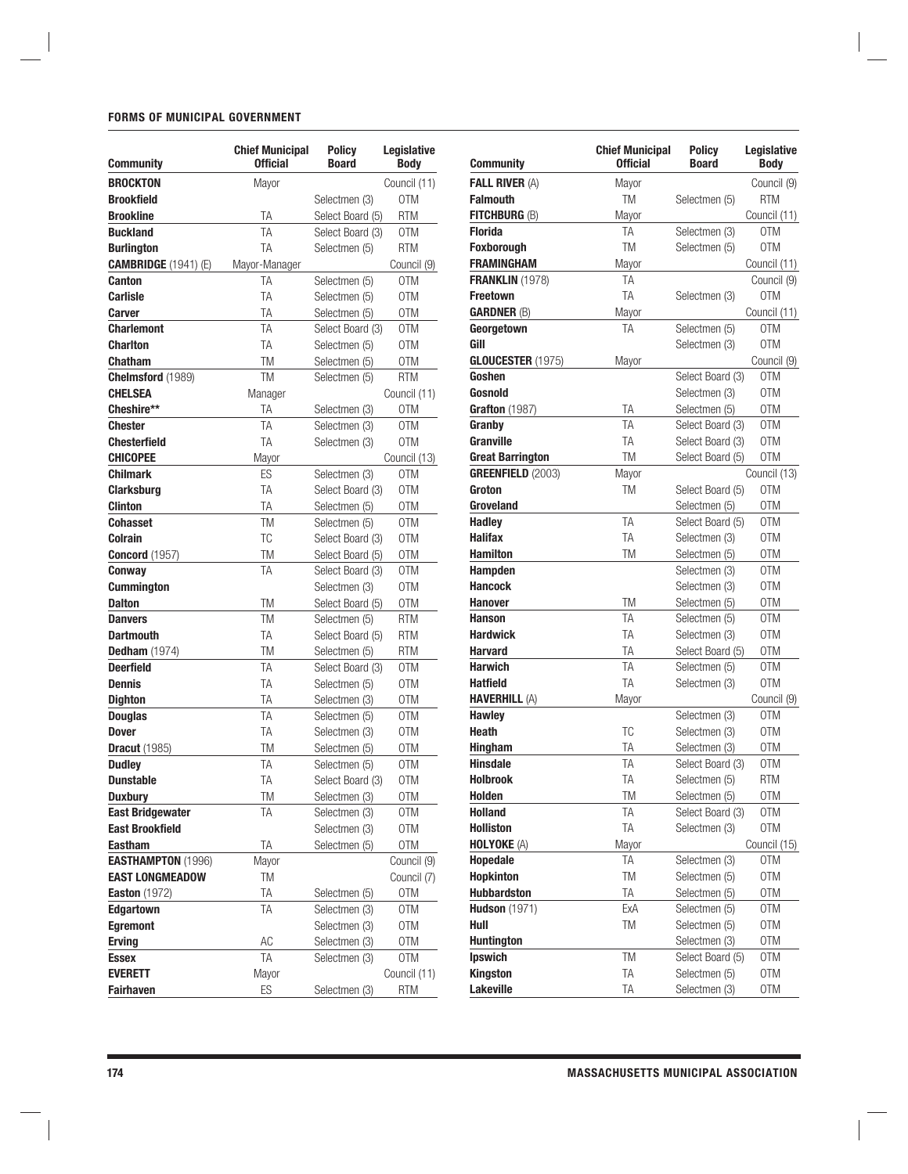### FORMS OF MUNICIPAL GOVERNMENT

|                                                     | <b>Chief Municipal</b><br><b>Official</b> | <b>Policy</b><br><b>Board</b>  | Legislative<br><b>Body</b> |
|-----------------------------------------------------|-------------------------------------------|--------------------------------|----------------------------|
| Community                                           |                                           |                                |                            |
| <b>BROCKTON</b>                                     | Mayor                                     |                                | Council (11)               |
| Brookfield                                          |                                           | Selectmen (3)                  | 0TM                        |
| <b>Brookline</b>                                    | ΤA                                        | Select Board (5)               | <b>RTM</b>                 |
| <b>Buckland</b>                                     | TA                                        | Select Board (3)               | 0TM                        |
| <b>Burlington</b>                                   | TA                                        | Selectmen (5)                  | <b>RTM</b>                 |
| <b>CAMBRIDGE</b> (1941) (E)                         | Mayor-Manager                             |                                | Council (9)                |
| <b>Canton</b>                                       | ΤA                                        | Selectmen (5)                  | 0TM                        |
| Carlisle                                            | TA                                        | Selectmen (5)                  | 0TM                        |
| Carver                                              | TA                                        | Selectmen (5)                  | 0TM                        |
| <b>Charlemont</b>                                   | TA                                        | Select Board (3)               | 0TM                        |
| <b>Charlton</b>                                     | TA                                        | Selectmen (5)                  | 0TM                        |
| Chatham                                             | TM                                        | Selectmen (5)                  | 0TM                        |
| Chelmsford (1989)                                   | TM                                        | Selectmen (5)                  | <b>RTM</b>                 |
| <b>CHELSEA</b>                                      | Manager                                   |                                | Council (11)               |
| Cheshire**                                          | ТA                                        | Selectmen (3)                  | 0TM                        |
| Chester                                             | TA                                        | Selectmen (3)                  | 0TM                        |
| <b>Chesterfield</b>                                 | TA                                        | Selectmen (3)                  | 0TM                        |
| CHICOPEE                                            | Mayor                                     |                                | Council (13)               |
| <b>Chilmark</b>                                     | ES                                        | Selectmen (3)                  | 0TM                        |
| <b>Clarksburg</b>                                   | TA                                        | Select Board (3)               | 0TM                        |
| <b>Clinton</b>                                      | ТA                                        | Selectmen (5)                  | 0TM                        |
| <b>Cohasset</b>                                     | TM                                        | Selectmen (5)                  | 0TM                        |
| Colrain                                             | ТC                                        | Select Board (3)               | <b>OTM</b>                 |
| <b>Concord</b> (1957)                               | TM                                        | Select Board (5)               | 0TM                        |
| Conway                                              | TA                                        | Select Board (3)               | 0TM                        |
| <b>Cummington</b>                                   |                                           | Selectmen (3)                  | 0TM                        |
| <b>Dalton</b>                                       | <b>TM</b>                                 | Select Board (5)               | 0TM                        |
| <b>Danvers</b>                                      | TM                                        | Selectmen (5)                  | <b>RTM</b>                 |
| <b>Dartmouth</b>                                    | TA                                        | Select Board (5)               | <b>RTM</b>                 |
| <b>Dedham</b> (1974)                                | TM                                        | Selectmen (5)                  | RTM                        |
| <b>Deerfield</b>                                    | TA                                        | Select Board (3)               | 0TM                        |
| <b>Dennis</b>                                       | TA                                        | Selectmen (5)                  | 0TM                        |
| Dighton                                             | TA                                        | Selectmen (3)                  | 0TM                        |
| <b>Douglas</b>                                      | TA                                        | Selectmen (5)                  | 0TM                        |
| <b>Dover</b>                                        | TA                                        | Selectmen (3)                  | 0TM                        |
| <b>Dracut</b> (1985)                                | TM                                        | Selectmen (5)                  | 0TM                        |
| <b>Dudley</b>                                       | TA                                        | Selectmen (5)                  | 0TM                        |
| <b>Dunstable</b>                                    | TA                                        | Select Board (3)               | 0TM                        |
| <b>Duxbury</b>                                      | TM                                        | Selectmen (3)                  | 0TM                        |
| <b>East Bridgewater</b>                             | ΤA                                        | Selectmen (3)                  | 0TM                        |
| <b>East Brookfield</b>                              |                                           | Selectmen (3)                  | <b>OTM</b>                 |
| Eastham                                             | TA                                        | Selectmen (5)                  | 0TM                        |
|                                                     | Mayor                                     |                                | Council (9)                |
| <b>EASTHAMPTON (1996)</b><br><b>EAST LONGMEADOW</b> | TM                                        |                                | Council (7)                |
|                                                     | ΤA                                        |                                | 0TM                        |
| <b>Easton</b> (1972)                                | TA                                        | Selectmen (5)                  |                            |
| Edgartown<br><b>Egremont</b>                        |                                           | Selectmen (3)<br>Selectmen (3) | 0TM<br>0TM                 |
| <b>Erving</b>                                       |                                           | Selectmen (3)                  |                            |
|                                                     | АC<br>TA                                  |                                | 0TM                        |
| Essex                                               |                                           | Selectmen (3)                  | 0TM                        |
| <b>EVERETT</b>                                      | Mayor                                     |                                | Council (11)               |
| <b>Fairhaven</b>                                    | ES                                        | Selectmen (3)                  | <b>RTM</b>                 |

| <b>Community</b>         | <b>Chief Municipal</b><br><b>Official</b> | <b>Policy</b><br><b>Board</b> | Legislative<br><b>Body</b> |
|--------------------------|-------------------------------------------|-------------------------------|----------------------------|
| <b>FALL RIVER (A)</b>    | Mayor                                     |                               | Council (9)                |
| <b>Falmouth</b>          | TM                                        | Selectmen (5)                 | <b>RTM</b>                 |
| FITCHBURG (B)            | Mayor                                     |                               | Council (11)               |
| <b>Florida</b>           | TΑ                                        | Selectmen (3)                 | 0TM                        |
| <b>Foxborough</b>        | <b>TM</b>                                 | Selectmen (5)                 | 0TM                        |
| <b>FRAMINGHAM</b>        | Mayor                                     |                               | Council (11)               |
| <b>FRANKLIN (1978)</b>   | TΑ                                        |                               | Council (9)                |
| <b>Freetown</b>          | TA                                        | Selectmen (3)                 | 0TM                        |
| <b>GARDNER (B)</b>       | Mayor                                     |                               | Council (11)               |
| Georgetown               | TA                                        | Selectmen (5)                 | 0TM                        |
| Gill                     |                                           | Selectmen (3)                 | 0TM                        |
| GLOUCESTER(1975)         | Mayor                                     |                               | Council (9)                |
| Goshen                   |                                           | Select Board (3)              | 0TM                        |
| Gosnold                  |                                           | Selectmen (3)                 | 0TM                        |
| Grafton (1987)           | TA                                        | Selectmen (5)                 | 0TM                        |
| Granby                   | TA                                        | Select Board (3)              | 0TM                        |
| Granville                | TA                                        | Select Board (3)              | 0TM                        |
| <b>Great Barrington</b>  | <b>TM</b>                                 | Select Board (5)              | 0TM                        |
| <b>GREENFIELD (2003)</b> | Mayor                                     |                               | Council (13)               |
| Groton                   | TM                                        | Select Board (5)              | 0TM                        |
| Groveland                |                                           | Selectmen (5)                 | 0TM                        |
| <b>Hadley</b>            | TA                                        | Select Board (5)              | 0TM                        |
| <b>Halifax</b>           | TA                                        | Selectmen (3)                 | 0TM                        |
| <b>Hamilton</b>          | TM                                        | Selectmen (5)                 | 0TM                        |
| Hampden                  |                                           | Selectmen (3)                 | 0TM                        |
| <b>Hancock</b>           |                                           | Selectmen (3)                 | 0TM                        |
| <b>Hanover</b>           | TM                                        | Selectmen (5)                 | 0TM                        |
| <b>Hanson</b>            | TA                                        | Selectmen (5)                 | 0TM                        |
| <b>Hardwick</b>          | TA                                        | Selectmen (3)                 | 0TM                        |
| <b>Harvard</b>           | TA                                        | Select Board (5)              | 0TM                        |
| <b>Harwich</b>           | TA                                        | Selectmen (5)                 | OTM                        |
| <b>Hatfield</b>          | TA                                        | Selectmen (3)                 | 0TM                        |
| <b>HAVERHILL (A)</b>     | Mayor                                     |                               | Council (9)                |
| <b>Hawley</b>            |                                           | Selectmen (3)                 | 0TM                        |
| <b>Heath</b>             | ТC                                        | Selectmen (3)                 | 0TM                        |
| <b>Hingham</b>           | TA                                        | Selectmen (3)                 | 0TM                        |
| <b>Hinsdale</b>          | TA                                        | Select Board (3)              | 0TM                        |
| <b>Holbrook</b>          | TA                                        | Selectmen (5)                 | RTM                        |
| Holden                   | TM                                        | Selectmen (5)                 | 0TM                        |
| <b>Holland</b>           | ΤA                                        | Select Board (3)              | 0TM                        |
| <b>Holliston</b>         | TA                                        | Selectmen (3)                 | 0TM                        |
| <b>HOLYOKE (A)</b>       | Mayor                                     |                               | Council (15)               |
| Hopedale                 | TΑ                                        | Selectmen (3)                 | 0TM                        |
| <b>Hopkinton</b>         | TM                                        | Selectmen (5)                 | 0TM                        |
| <b>Hubbardston</b>       | TA                                        | Selectmen (5)                 | 0TM                        |
| <b>Hudson</b> (1971)     | ExA                                       | Selectmen (5)                 | 0TM                        |
| Hull                     | TM                                        | Selectmen (5)                 | 0TM                        |
| <b>Huntington</b>        |                                           | Selectmen (3)                 | 0TM                        |
| <b>Ipswich</b>           | TM                                        | Select Board (5)              | 0TM                        |
| <b>Kingston</b>          | TA                                        | Selectmen (5)                 | 0TM                        |
| <b>Lakeville</b>         | TA                                        | Selectmen (3)                 | 0TM                        |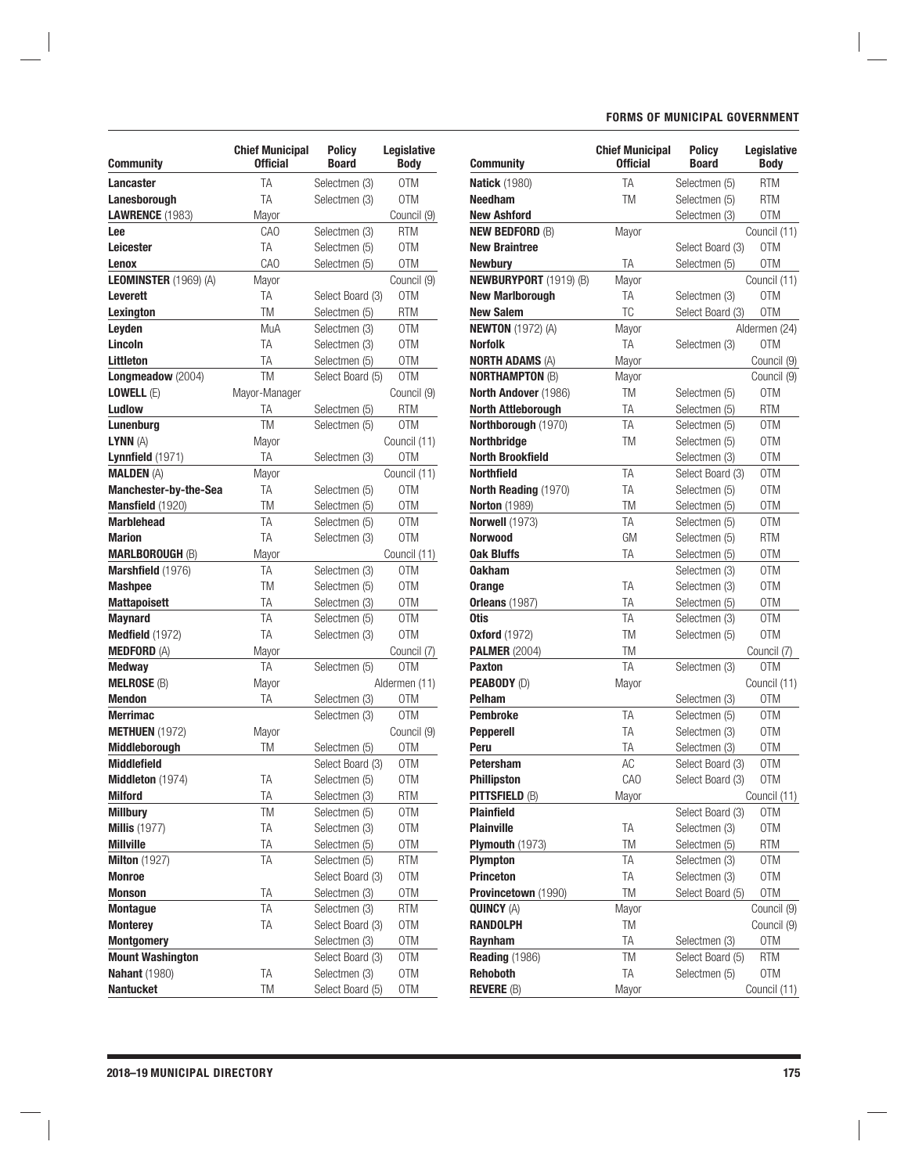| Community               | <b>Chief Municipal</b><br><b>Official</b> | Policy<br><b>Board</b> | Legislative<br><b>Body</b> |
|-------------------------|-------------------------------------------|------------------------|----------------------------|
| Lancaster               | TA                                        | Selectmen (3)          | 0TM                        |
| Lanesborough            | TA                                        | Selectmen (3)          | 0TM                        |
| <b>LAWRENCE (1983)</b>  | Mayor                                     |                        | Council (9)                |
| Lee                     | CAO                                       | Selectmen (3)          | RTM                        |
| Leicester               | TA                                        | Selectmen (5)          | 0TM                        |
| Lenox                   | CAO                                       | Selectmen (5)          | 0TM                        |
| LEOMINSTER (1969) (A)   | Mayor                                     |                        | Council (9)                |
| <b>Leverett</b>         | ТA                                        | Select Board (3)       | 0TM                        |
| Lexington               | TM                                        | Selectmen (5)          | <b>RTM</b>                 |
| Leyden                  | MuA                                       | Selectmen (3)          | 0TM                        |
| Lincoln                 | TA                                        | Selectmen (3)          | 0TM                        |
| <b>Littleton</b>        | TA                                        | Selectmen (5)          | 0TM                        |
| Longmeadow (2004)       | TM                                        | Select Board (5)       | 0TM                        |
| LOWELL (E)              | Mayor-Manager                             |                        | Council (9)                |
| Ludlow                  | TA                                        | Selectmen (5)          | <b>RTM</b>                 |
| Lunenbura               | TM                                        | Selectmen (5)          | 0TM                        |
| LYNN (A)                | Mayor                                     |                        | Council (11)               |
| Lynnfield $(1971)$      | TA                                        | Selectmen (3)          | 0TM                        |
| <b>MALDEN (A)</b>       | Mayor                                     |                        | Council (11)               |
| Manchester-by-the-Sea   | ТA                                        | Selectmen (5)          | 0TM                        |
| Mansfield (1920)        | TM                                        | Selectmen (5)          | 0TM                        |
| <b>Marblehead</b>       | TA                                        | Selectmen (5)          | 0TM                        |
| <b>Marion</b>           | TA                                        | Selectmen (3)          | 0TM                        |
| <b>MARLBOROUGH (B)</b>  | Mayor                                     |                        | Council (11)               |
| Marshfield (1976)       | ТA                                        | Selectmen (3)          | 0TM                        |
| <b>Mashpee</b>          | TM                                        | Selectmen (5)          | 0TM                        |
| <b>Mattapoisett</b>     | TA                                        | Selectmen (3)          | 0TM                        |
| <b>Maynard</b>          | TA                                        | Selectmen (5)          | 0TM                        |
| Medfield (1972)         | TA                                        | Selectmen (3)          | 0TM                        |
| <b>MEDFORD (A)</b>      | Mayor                                     |                        | Council (7)                |
| Medway                  | TA                                        | Selectmen (5)          | 0TM                        |
| <b>MELROSE (B)</b>      | Mayor                                     |                        | Aldermen (11)              |
| <b>Mendon</b>           | ТA                                        | Selectmen (3)          | 0TM                        |
| <b>Merrimac</b>         |                                           | Selectmen (3)          | 0TM                        |
| <b>METHUEN</b> (1972)   | Mayor                                     |                        | Council (9)                |
| Middleborough           | TM                                        | Selectmen (5)          | 0TM                        |
| <b>Middlefield</b>      |                                           | Select Board (3)       | 0TM                        |
| Middleton (1974)        | TA                                        | Selectmen (5)          | 0TM                        |
| Milford                 | ТA                                        | Selectmen (3)          | <b>RTM</b>                 |
| <b>Millbury</b>         | TM                                        | Selectmen (5)          | 0TM                        |
| <b>Millis (1977)</b>    | TA                                        | Selectmen (3)          | 0TM                        |
| <b>Millville</b>        | TA                                        | Selectmen (5)          | <b>OTM</b>                 |
| <b>Milton</b> (1927)    | TA                                        | Selectmen (5)          | RTM                        |
| <b>Monroe</b>           |                                           | Select Board (3)       | 0TM                        |
| <b>Monson</b>           | TA                                        | Selectmen (3)          | 0TM                        |
| <b>Montague</b>         | TA                                        | Selectmen (3)          | RTM                        |
| <b>Monterey</b>         | TA                                        | Select Board (3)       | OTM                        |
| <b>Montgomery</b>       |                                           | Selectmen (3)          | 0TM                        |
| <b>Mount Washington</b> |                                           | Select Board (3)       | 0TM                        |
| <b>Nahant</b> (1980)    | TA                                        | Selectmen (3)          | 0TM                        |
| <b>Nantucket</b>        | TM                                        | Select Board (5)       | 0TM                        |

#### Natick (1980) TA Selectmen (5) RTM **Needham** TM Selectmen (5) RTM New Ashford Selectmen (3) OTM **NEW BEDFORD** (B) Mayor Council (11) **New Braintree** Select Board (3) OTM Newbury TA Selectmen (5) OTM **NEWBURYPORT** (1919) (B) Mayor Council (11) **New Marlborough** TA Selectmen (3) OTM **New Salem TC** Select Board (3) OTM **NEWTON** (1972) (A) Mayor Aldermen (24) **Norfolk** TA Selectmen (3) OTM **NORTH ADAMS** (A) Mayor Mayor Council (9) **NORTHAMPTON** (B) Mayor Mayor Council (9) North Andover (1986) TM Selectmen (5) OTM North Attleborough TA Selectmen (5) RTM Northborough (1970) TA Selectmen (5) OTM Northbridge TM Selectmen (5) OTM North Brookfield Selectmen (3) OTM **Northfield** TA Select Board (3) OTM North Reading (1970) TA Selectmen (5) OTM Norton (1989) TM Selectmen (5) OTM Norwell (1973) TA Selectmen (5) OTM **Norwood** GM Selectmen (5) RTM **Oak Bluffs** TA Selectmen (5) OTM **Oakham** Selectmen (3) OTM **Orange** TA Selectmen (3) OTM **Orleans** (1987) TA Selectmen (5) OTM **Otis** TA Selectmen (3) OTM Oxford (1972) TM Selectmen (5) OTM PALMER (2004) TM TM Council (7) Paxton TA Selectmen (3) OTM PEABODY (D) Mayor Council (11) Pelham Selectmen (3) OTM **Pembroke** TA Selectmen (5) OTM **Pepperell** TA Selectmen (3) OTM **Peru** TA Selectmen (3) OTM **Petersham** AC Select Board (3) OTM **Phillipston** CAO Select Board (3) OTM **PITTSFIELD** (B) Mayor Council (11) Plainfield Select Board (3) OTM **Plainville** TA Selectmen (3) OTM **Plymouth** (1973) TM Selectmen (5) RTM **Plympton** TA Selectmen (3) OTM **Princeton** TA Selectmen (3) OTM Provincetown (1990) TM Select Board (5) OTM **QUINCY** (A) Mayor Mayor Council (9) RANDOLPH TM Council (9) Raynham TA Selectmen (3) OTM Reading (1986) TM Select Board (5) RTM **Rehoboth** TA Selectmen (5) OTM REVERE (B) Mayor Mayor Council (11) Chief Municipal Policy Legislative<br>Official Board Body **Community**

#### FORMS OF MUNICIPAL GOVERNMENT